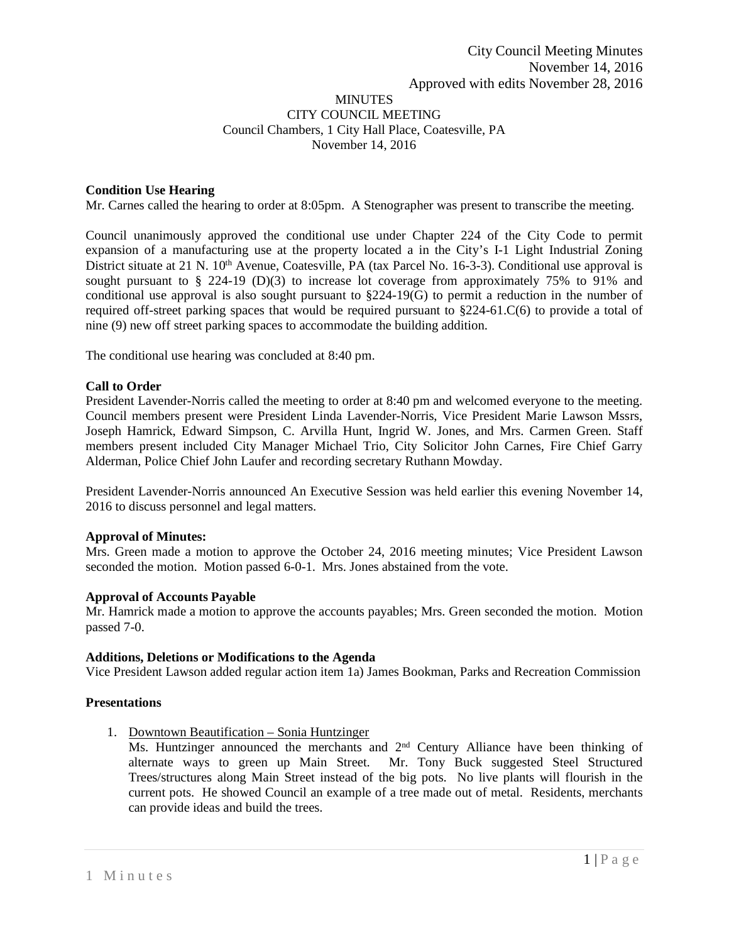### MINUTES CITY COUNCIL MEETING Council Chambers, 1 City Hall Place, Coatesville, PA November 14, 2016

# **Condition Use Hearing**

Mr. Carnes called the hearing to order at 8:05pm. A Stenographer was present to transcribe the meeting.

Council unanimously approved the conditional use under Chapter 224 of the City Code to permit expansion of a manufacturing use at the property located a in the City's I-1 Light Industrial Zoning District situate at 21 N. 10<sup>th</sup> Avenue, Coatesville, PA (tax Parcel No. 16-3-3). Conditional use approval is sought pursuant to § 224-19 (D)(3) to increase lot coverage from approximately 75% to 91% and conditional use approval is also sought pursuant to §224-19(G) to permit a reduction in the number of required off-street parking spaces that would be required pursuant to §224-61.C(6) to provide a total of nine (9) new off street parking spaces to accommodate the building addition.

The conditional use hearing was concluded at 8:40 pm.

#### **Call to Order**

President Lavender-Norris called the meeting to order at 8:40 pm and welcomed everyone to the meeting. Council members present were President Linda Lavender-Norris, Vice President Marie Lawson Mssrs, Joseph Hamrick, Edward Simpson, C. Arvilla Hunt, Ingrid W. Jones, and Mrs. Carmen Green. Staff members present included City Manager Michael Trio, City Solicitor John Carnes, Fire Chief Garry Alderman, Police Chief John Laufer and recording secretary Ruthann Mowday.

President Lavender-Norris announced An Executive Session was held earlier this evening November 14, 2016 to discuss personnel and legal matters.

### **Approval of Minutes:**

Mrs. Green made a motion to approve the October 24, 2016 meeting minutes; Vice President Lawson seconded the motion. Motion passed 6-0-1. Mrs. Jones abstained from the vote.

### **Approval of Accounts Payable**

Mr. Hamrick made a motion to approve the accounts payables; Mrs. Green seconded the motion. Motion passed 7-0.

#### **Additions, Deletions or Modifications to the Agenda**

Vice President Lawson added regular action item 1a) James Bookman, Parks and Recreation Commission

# **Presentations**

1. Downtown Beautification – Sonia Huntzinger

Ms. Huntzinger announced the merchants and 2<sup>nd</sup> Century Alliance have been thinking of alternate ways to green up Main Street. Mr. Tony Buck suggested Steel Structured Trees/structures along Main Street instead of the big pots. No live plants will flourish in the current pots. He showed Council an example of a tree made out of metal. Residents, merchants can provide ideas and build the trees.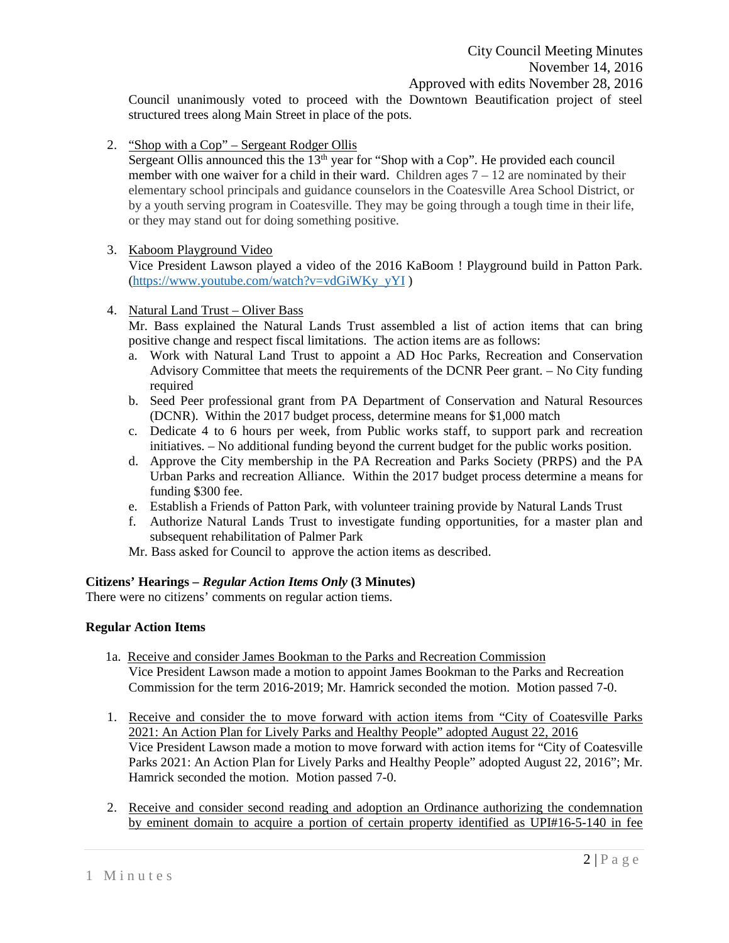Council unanimously voted to proceed with the Downtown Beautification project of steel structured trees along Main Street in place of the pots.

2. "Shop with a Cop" – Sergeant Rodger Ollis

Sergeant Ollis announced this the  $13<sup>th</sup>$  year for "Shop with a Cop". He provided each council member with one waiver for a child in their ward. Children ages  $7 - 12$  are nominated by their elementary school principals and guidance counselors in the Coatesville Area School District, or by a youth serving program in Coatesville. They may be going through a tough time in their life, or they may stand out for doing something positive.

# 3. Kaboom Playground Video

Vice President Lawson played a video of the 2016 KaBoom ! Playground build in Patton Park. [\(https://www.youtube.com/watch?v=vdGiWKy\\_yYI](https://www.youtube.com/watch?v=vdGiWKy_yYI) )

4. Natural Land Trust – Oliver Bass

Mr. Bass explained the Natural Lands Trust assembled a list of action items that can bring positive change and respect fiscal limitations. The action items are as follows:

- a. Work with Natural Land Trust to appoint a AD Hoc Parks, Recreation and Conservation Advisory Committee that meets the requirements of the DCNR Peer grant. – No City funding required
- b. Seed Peer professional grant from PA Department of Conservation and Natural Resources (DCNR). Within the 2017 budget process, determine means for \$1,000 match
- c. Dedicate 4 to 6 hours per week, from Public works staff, to support park and recreation initiatives. – No additional funding beyond the current budget for the public works position.
- d. Approve the City membership in the PA Recreation and Parks Society (PRPS) and the PA Urban Parks and recreation Alliance. Within the 2017 budget process determine a means for funding \$300 fee.
- e. Establish a Friends of Patton Park, with volunteer training provide by Natural Lands Trust
- f. Authorize Natural Lands Trust to investigate funding opportunities, for a master plan and subsequent rehabilitation of Palmer Park
- Mr. Bass asked for Council to approve the action items as described.

### **Citizens' Hearings –** *Regular Action Items Only* **(3 Minutes)**

There were no citizens' comments on regular action tiems.

### **Regular Action Items**

- 1a. Receive and consider James Bookman to the Parks and Recreation Commission Vice President Lawson made a motion to appoint James Bookman to the Parks and Recreation Commission for the term 2016-2019; Mr. Hamrick seconded the motion. Motion passed 7-0.
- 1. Receive and consider the to move forward with action items from "City of Coatesville Parks 2021: An Action Plan for Lively Parks and Healthy People" adopted August 22, 2016 Vice President Lawson made a motion to move forward with action items for "City of Coatesville Parks 2021: An Action Plan for Lively Parks and Healthy People" adopted August 22, 2016"; Mr. Hamrick seconded the motion. Motion passed 7-0.
- 2. Receive and consider second reading and adoption an Ordinance authorizing the condemnation by eminent domain to acquire a portion of certain property identified as UPI#16-5-140 in fee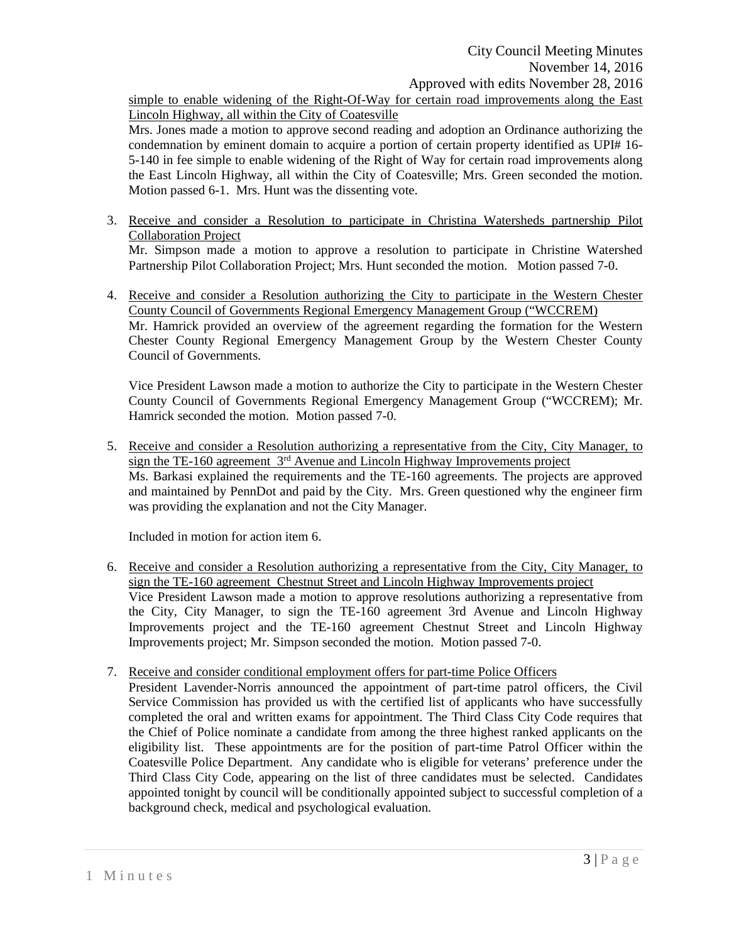simple to enable widening of the Right-Of-Way for certain road improvements along the East Lincoln Highway, all within the City of Coatesville

Mrs. Jones made a motion to approve second reading and adoption an Ordinance authorizing the condemnation by eminent domain to acquire a portion of certain property identified as UPI# 16- 5-140 in fee simple to enable widening of the Right of Way for certain road improvements along the East Lincoln Highway, all within the City of Coatesville; Mrs. Green seconded the motion. Motion passed 6-1. Mrs. Hunt was the dissenting vote.

- 3. Receive and consider a Resolution to participate in Christina Watersheds partnership Pilot Collaboration Project Mr. Simpson made a motion to approve a resolution to participate in Christine Watershed Partnership Pilot Collaboration Project; Mrs. Hunt seconded the motion. Motion passed 7-0.
- 4. Receive and consider a Resolution authorizing the City to participate in the Western Chester County Council of Governments Regional Emergency Management Group ("WCCREM) Mr. Hamrick provided an overview of the agreement regarding the formation for the Western Chester County Regional Emergency Management Group by the Western Chester County Council of Governments.

Vice President Lawson made a motion to authorize the City to participate in the Western Chester County Council of Governments Regional Emergency Management Group ("WCCREM); Mr. Hamrick seconded the motion. Motion passed 7-0.

5. Receive and consider a Resolution authorizing a representative from the City, City Manager, to sign the TE-160 agreement  $3<sup>rd</sup>$  Avenue and Lincoln Highway Improvements project Ms. Barkasi explained the requirements and the TE-160 agreements. The projects are approved and maintained by PennDot and paid by the City. Mrs. Green questioned why the engineer firm was providing the explanation and not the City Manager.

Included in motion for action item 6.

- 6. Receive and consider a Resolution authorizing a representative from the City, City Manager, to sign the TE-160 agreement Chestnut Street and Lincoln Highway Improvements project Vice President Lawson made a motion to approve resolutions authorizing a representative from the City, City Manager, to sign the TE-160 agreement 3rd Avenue and Lincoln Highway Improvements project and the TE-160 agreement Chestnut Street and Lincoln Highway Improvements project; Mr. Simpson seconded the motion. Motion passed 7-0.
- 7. Receive and consider conditional employment offers for part-time Police Officers
	- President Lavender-Norris announced the appointment of part-time patrol officers, the Civil Service Commission has provided us with the certified list of applicants who have successfully completed the oral and written exams for appointment. The Third Class City Code requires that the Chief of Police nominate a candidate from among the three highest ranked applicants on the eligibility list. These appointments are for the position of part-time Patrol Officer within the Coatesville Police Department. Any candidate who is eligible for veterans' preference under the Third Class City Code, appearing on the list of three candidates must be selected. Candidates appointed tonight by council will be conditionally appointed subject to successful completion of a background check, medical and psychological evaluation.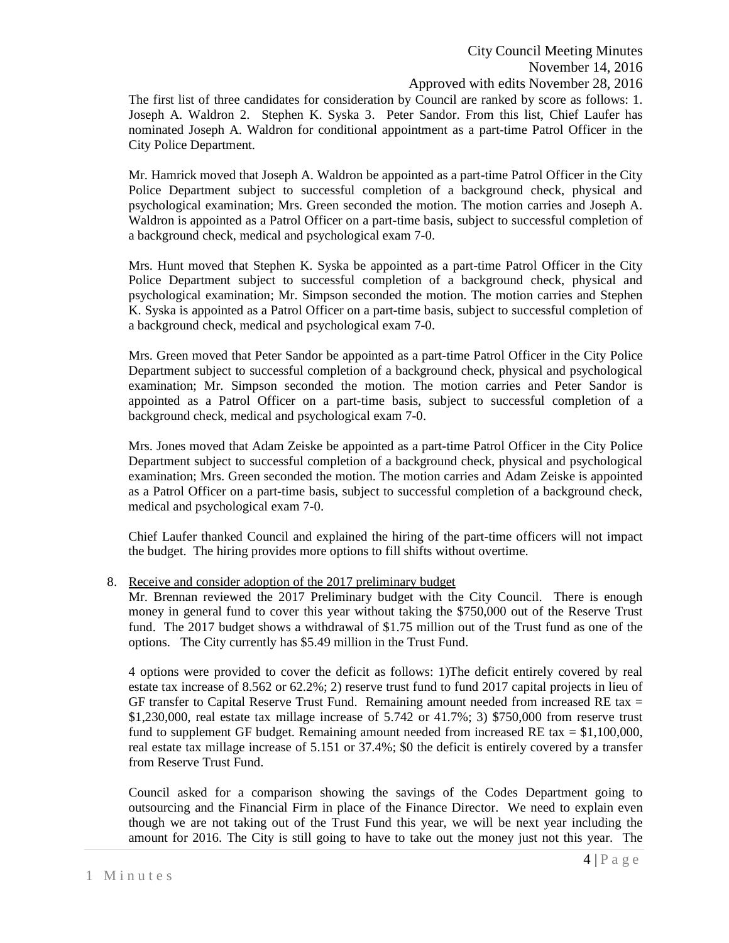The first list of three candidates for consideration by Council are ranked by score as follows: 1. Joseph A. Waldron 2. Stephen K. Syska 3. Peter Sandor. From this list, Chief Laufer has nominated Joseph A. Waldron for conditional appointment as a part-time Patrol Officer in the City Police Department.

Mr. Hamrick moved that Joseph A. Waldron be appointed as a part-time Patrol Officer in the City Police Department subject to successful completion of a background check, physical and psychological examination; Mrs. Green seconded the motion. The motion carries and Joseph A. Waldron is appointed as a Patrol Officer on a part-time basis, subject to successful completion of a background check, medical and psychological exam 7-0.

Mrs. Hunt moved that Stephen K. Syska be appointed as a part-time Patrol Officer in the City Police Department subject to successful completion of a background check, physical and psychological examination; Mr. Simpson seconded the motion. The motion carries and Stephen K. Syska is appointed as a Patrol Officer on a part-time basis, subject to successful completion of a background check, medical and psychological exam 7-0.

Mrs. Green moved that Peter Sandor be appointed as a part-time Patrol Officer in the City Police Department subject to successful completion of a background check, physical and psychological examination; Mr. Simpson seconded the motion. The motion carries and Peter Sandor is appointed as a Patrol Officer on a part-time basis, subject to successful completion of a background check, medical and psychological exam 7-0.

Mrs. Jones moved that Adam Zeiske be appointed as a part-time Patrol Officer in the City Police Department subject to successful completion of a background check, physical and psychological examination; Mrs. Green seconded the motion. The motion carries and Adam Zeiske is appointed as a Patrol Officer on a part-time basis, subject to successful completion of a background check, medical and psychological exam 7-0.

Chief Laufer thanked Council and explained the hiring of the part-time officers will not impact the budget. The hiring provides more options to fill shifts without overtime.

8. Receive and consider adoption of the 2017 preliminary budget

Mr. Brennan reviewed the 2017 Preliminary budget with the City Council. There is enough money in general fund to cover this year without taking the \$750,000 out of the Reserve Trust fund. The 2017 budget shows a withdrawal of \$1.75 million out of the Trust fund as one of the options. The City currently has \$5.49 million in the Trust Fund.

4 options were provided to cover the deficit as follows: 1)The deficit entirely covered by real estate tax increase of 8.562 or 62.2%; 2) reserve trust fund to fund 2017 capital projects in lieu of GF transfer to Capital Reserve Trust Fund. Remaining amount needed from increased RE tax  $=$ \$1,230,000, real estate tax millage increase of 5.742 or 41.7%; 3) \$750,000 from reserve trust fund to supplement GF budget. Remaining amount needed from increased RE tax  $= $1,100,000$ , real estate tax millage increase of 5.151 or 37.4%; \$0 the deficit is entirely covered by a transfer from Reserve Trust Fund.

Council asked for a comparison showing the savings of the Codes Department going to outsourcing and the Financial Firm in place of the Finance Director. We need to explain even though we are not taking out of the Trust Fund this year, we will be next year including the amount for 2016. The City is still going to have to take out the money just not this year. The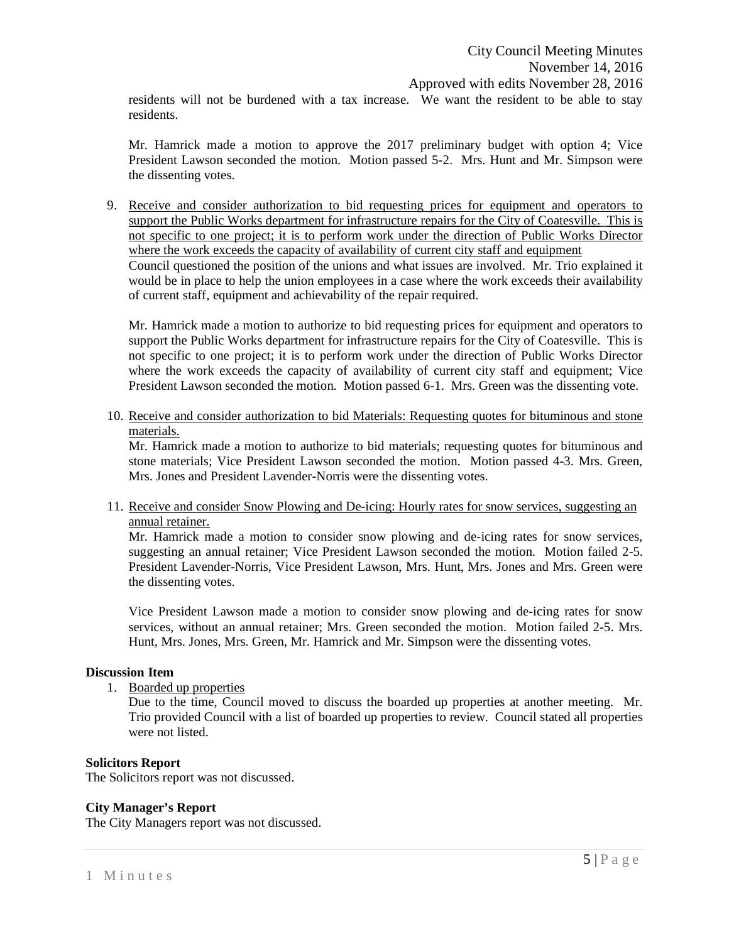residents will not be burdened with a tax increase. We want the resident to be able to stay residents.

Mr. Hamrick made a motion to approve the 2017 preliminary budget with option 4; Vice President Lawson seconded the motion. Motion passed 5-2. Mrs. Hunt and Mr. Simpson were the dissenting votes.

9. Receive and consider authorization to bid requesting prices for equipment and operators to support the Public Works department for infrastructure repairs for the City of Coatesville. This is not specific to one project; it is to perform work under the direction of Public Works Director where the work exceeds the capacity of availability of current city staff and equipment Council questioned the position of the unions and what issues are involved. Mr. Trio explained it would be in place to help the union employees in a case where the work exceeds their availability of current staff, equipment and achievability of the repair required.

Mr. Hamrick made a motion to authorize to bid requesting prices for equipment and operators to support the Public Works department for infrastructure repairs for the City of Coatesville. This is not specific to one project; it is to perform work under the direction of Public Works Director where the work exceeds the capacity of availability of current city staff and equipment; Vice President Lawson seconded the motion. Motion passed 6-1. Mrs. Green was the dissenting vote.

10. Receive and consider authorization to bid Materials: Requesting quotes for bituminous and stone materials.

Mr. Hamrick made a motion to authorize to bid materials; requesting quotes for bituminous and stone materials; Vice President Lawson seconded the motion. Motion passed 4-3. Mrs. Green, Mrs. Jones and President Lavender-Norris were the dissenting votes.

11. Receive and consider Snow Plowing and De-icing: Hourly rates for snow services, suggesting an annual retainer.

Mr. Hamrick made a motion to consider snow plowing and de-icing rates for snow services, suggesting an annual retainer; Vice President Lawson seconded the motion. Motion failed 2-5. President Lavender-Norris, Vice President Lawson, Mrs. Hunt, Mrs. Jones and Mrs. Green were the dissenting votes.

Vice President Lawson made a motion to consider snow plowing and de-icing rates for snow services, without an annual retainer; Mrs. Green seconded the motion. Motion failed 2-5. Mrs. Hunt, Mrs. Jones, Mrs. Green, Mr. Hamrick and Mr. Simpson were the dissenting votes.

#### **Discussion Item**

1. Boarded up properties

Due to the time, Council moved to discuss the boarded up properties at another meeting. Mr. Trio provided Council with a list of boarded up properties to review. Council stated all properties were not listed.

## **Solicitors Report**

The Solicitors report was not discussed.

#### **City Manager's Report**

The City Managers report was not discussed.